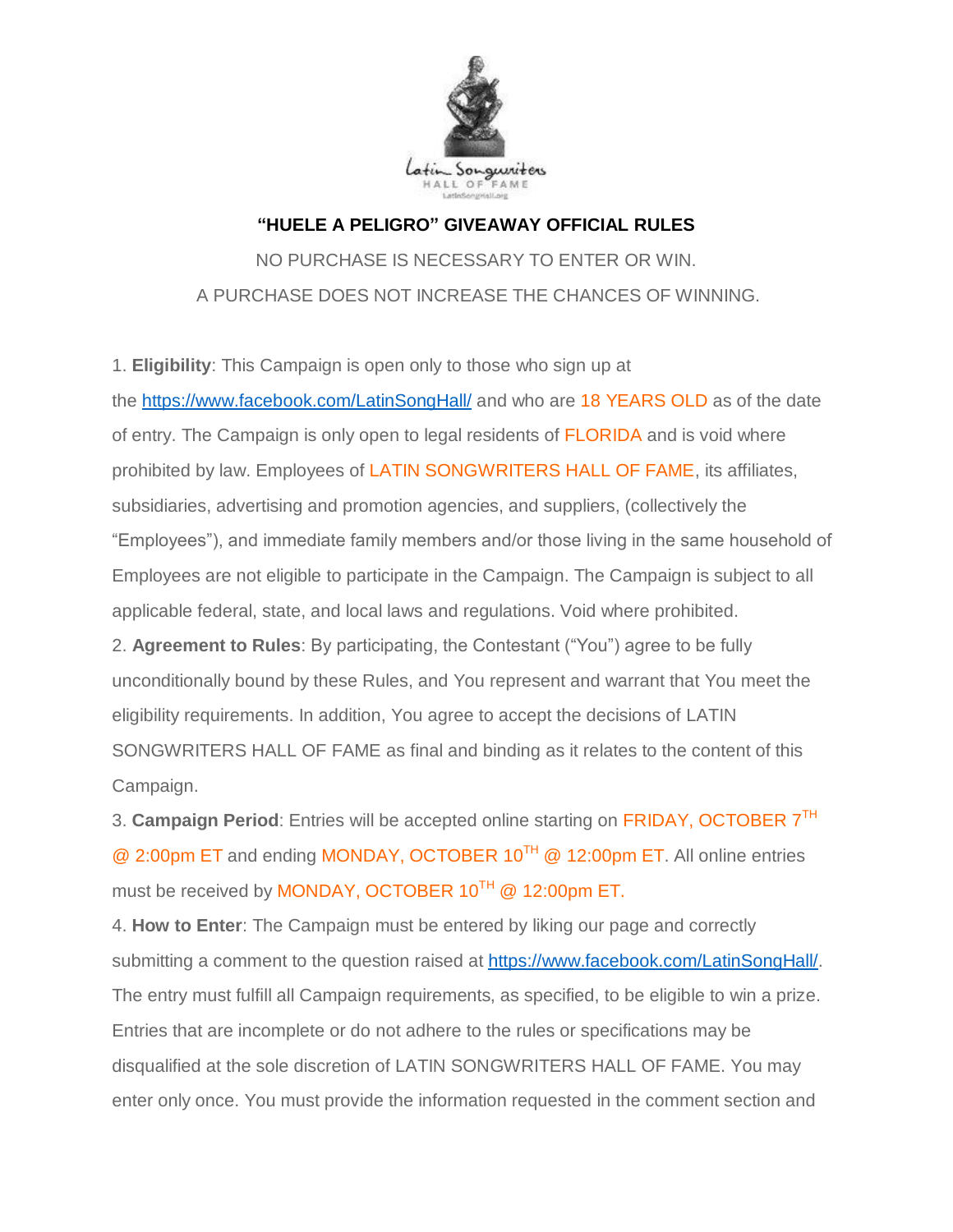

## **"HUELE A PELIGRO" GIVEAWAY OFFICIAL RULES**

NO PURCHASE IS NECESSARY TO ENTER OR WIN. A PURCHASE DOES NOT INCREASE THE CHANCES OF WINNING.

1. **Eligibility**: This Campaign is open only to those who sign up at

the <https://www.facebook.com/LatinSongHall/> and who are 18 YEARS OLD as of the date of entry. The Campaign is only open to legal residents of FLORIDA and is void where prohibited by law. Employees of LATIN SONGWRITERS HALL OF FAME, its affiliates, subsidiaries, advertising and promotion agencies, and suppliers, (collectively the "Employees"), and immediate family members and/or those living in the same household of Employees are not eligible to participate in the Campaign. The Campaign is subject to all applicable federal, state, and local laws and regulations. Void where prohibited. 2. **Agreement to Rules**: By participating, the Contestant ("You") agree to be fully

unconditionally bound by these Rules, and You represent and warrant that You meet the eligibility requirements. In addition, You agree to accept the decisions of LATIN SONGWRITERS HALL OF FAME as final and binding as it relates to the content of this Campaign.

3. Campaign Period: Entries will be accepted online starting on FRIDAY, OCTOBER 7<sup>TH</sup> @ 2:00pm ET and ending MONDAY, OCTOBER 10TH @ 12:00pm ET. All online entries must be received by MONDAY, OCTOBER  $10^{TH}$  @ 12:00pm ET.

4. **How to Enter**: The Campaign must be entered by liking our page and correctly submitting a comment to the question raised at [https://www.facebook.com/LatinSongHall/.](https://www.facebook.com/LatinSongHall/) The entry must fulfill all Campaign requirements, as specified, to be eligible to win a prize. Entries that are incomplete or do not adhere to the rules or specifications may be disqualified at the sole discretion of LATIN SONGWRITERS HALL OF FAME. You may enter only once. You must provide the information requested in the comment section and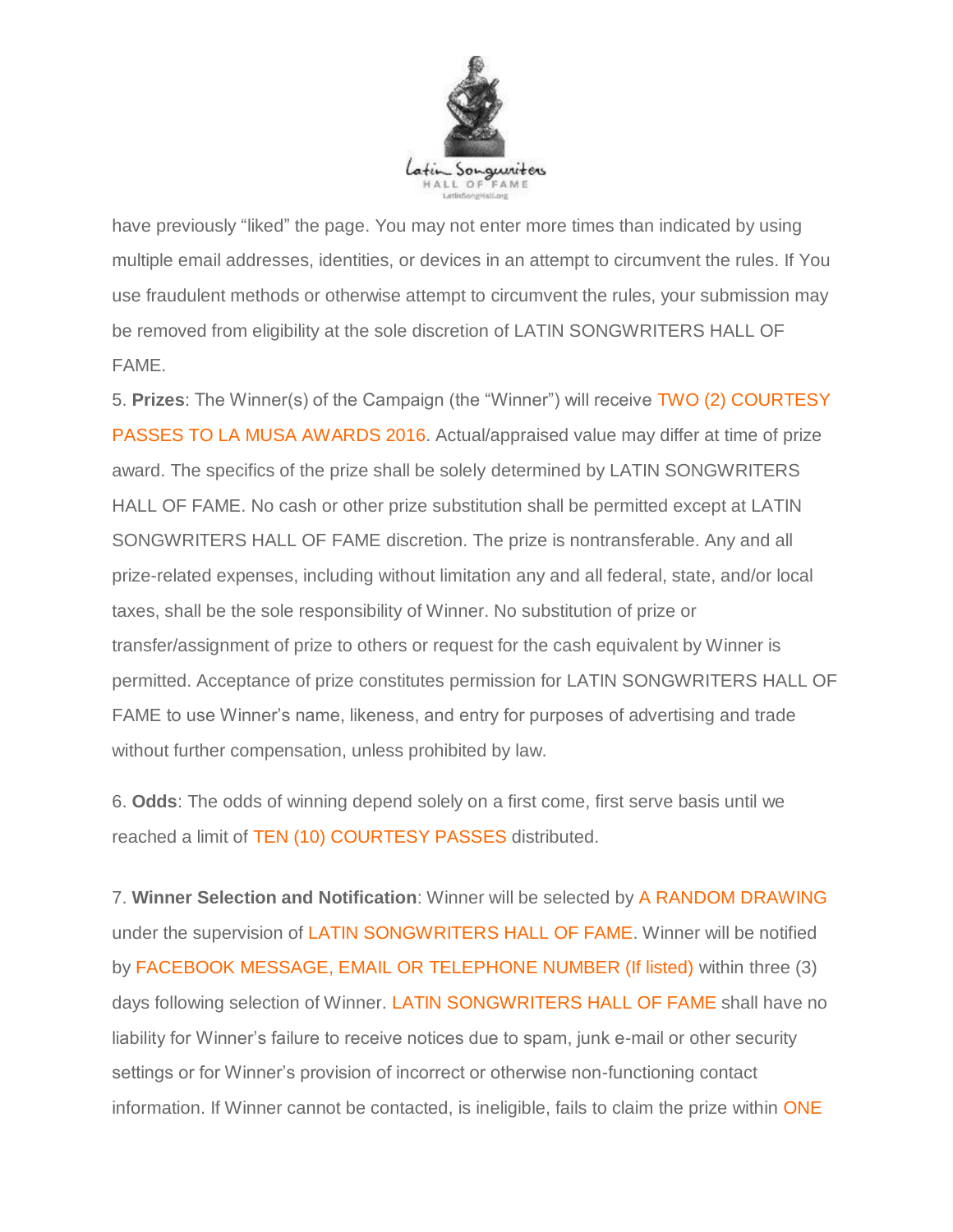

have previously "liked" the page. You may not enter more times than indicated by using multiple email addresses, identities, or devices in an attempt to circumvent the rules. If You use fraudulent methods or otherwise attempt to circumvent the rules, your submission may be removed from eligibility at the sole discretion of LATIN SONGWRITERS HALL OF FAME.

5. **Prizes**: The Winner(s) of the Campaign (the "Winner") will receive TWO (2) COURTESY PASSES TO LA MUSA AWARDS 2016. Actual/appraised value may differ at time of prize award. The specifics of the prize shall be solely determined by LATIN SONGWRITERS HALL OF FAME. No cash or other prize substitution shall be permitted except at LATIN SONGWRITERS HALL OF FAME discretion. The prize is nontransferable. Any and all prize-related expenses, including without limitation any and all federal, state, and/or local taxes, shall be the sole responsibility of Winner. No substitution of prize or transfer/assignment of prize to others or request for the cash equivalent by Winner is permitted. Acceptance of prize constitutes permission for LATIN SONGWRITERS HALL OF FAME to use Winner's name, likeness, and entry for purposes of advertising and trade without further compensation, unless prohibited by law.

6. **Odds**: The odds of winning depend solely on a first come, first serve basis until we reached a limit of TEN (10) COURTESY PASSES distributed.

7. **Winner Selection and Notification**: Winner will be selected by A RANDOM DRAWING under the supervision of LATIN SONGWRITERS HALL OF FAME. Winner will be notified by FACEBOOK MESSAGE, EMAIL OR TELEPHONE NUMBER (If listed) within three (3) days following selection of Winner. LATIN SONGWRITERS HALL OF FAME shall have no liability for Winner's failure to receive notices due to spam, junk e-mail or other security settings or for Winner's provision of incorrect or otherwise non-functioning contact information. If Winner cannot be contacted, is ineligible, fails to claim the prize within ONE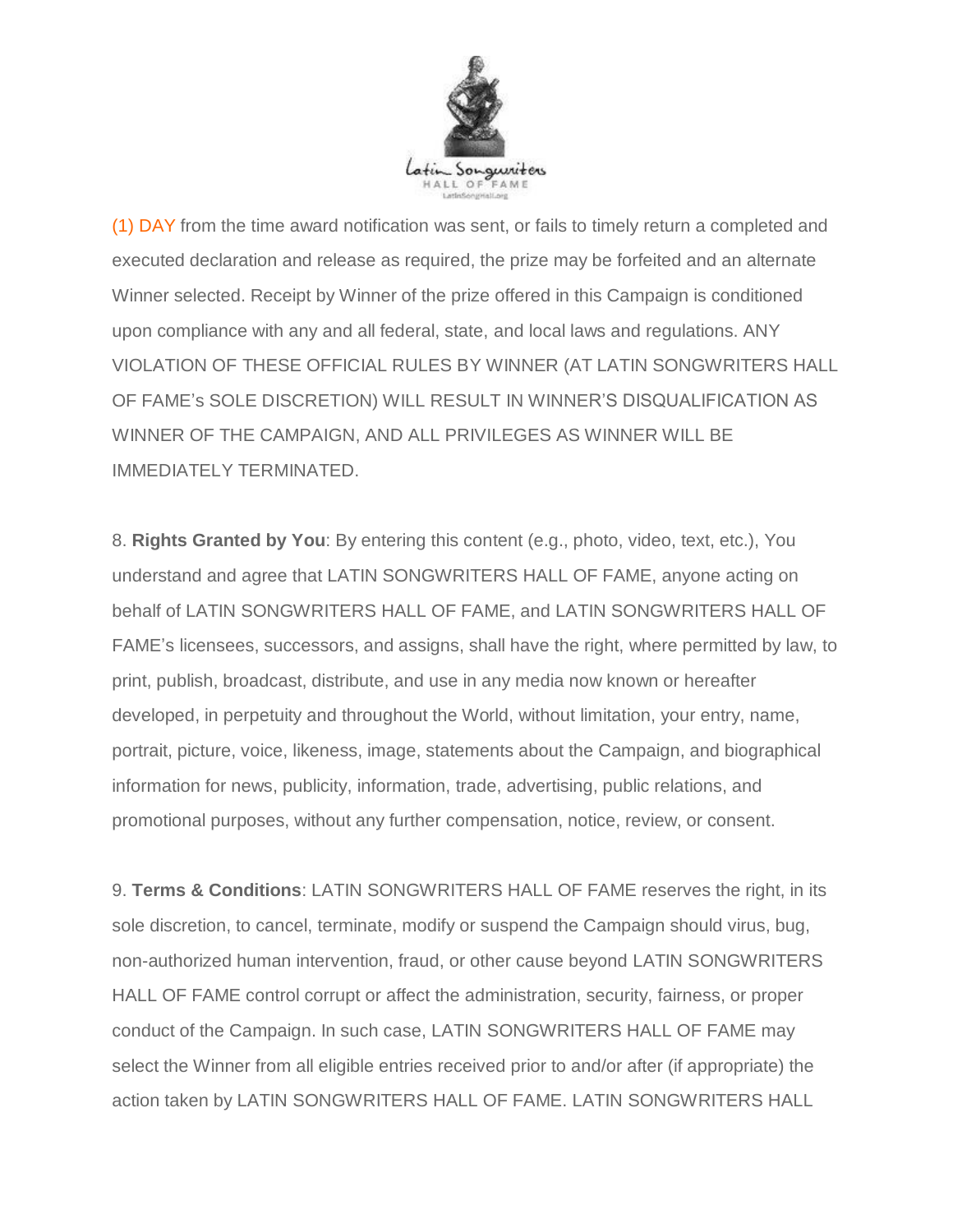

(1) DAY from the time award notification was sent, or fails to timely return a completed and executed declaration and release as required, the prize may be forfeited and an alternate Winner selected. Receipt by Winner of the prize offered in this Campaign is conditioned upon compliance with any and all federal, state, and local laws and regulations. ANY VIOLATION OF THESE OFFICIAL RULES BY WINNER (AT LATIN SONGWRITERS HALL OF FAME's SOLE DISCRETION) WILL RESULT IN WINNER'S DISQUALIFICATION AS WINNER OF THE CAMPAIGN, AND ALL PRIVILEGES AS WINNER WILL BE IMMEDIATELY TERMINATED.

8. **Rights Granted by You**: By entering this content (e.g., photo, video, text, etc.), You understand and agree that LATIN SONGWRITERS HALL OF FAME, anyone acting on behalf of LATIN SONGWRITERS HALL OF FAME, and LATIN SONGWRITERS HALL OF FAME's licensees, successors, and assigns, shall have the right, where permitted by law, to print, publish, broadcast, distribute, and use in any media now known or hereafter developed, in perpetuity and throughout the World, without limitation, your entry, name, portrait, picture, voice, likeness, image, statements about the Campaign, and biographical information for news, publicity, information, trade, advertising, public relations, and promotional purposes, without any further compensation, notice, review, or consent.

9. **Terms & Conditions**: LATIN SONGWRITERS HALL OF FAME reserves the right, in its sole discretion, to cancel, terminate, modify or suspend the Campaign should virus, bug, non-authorized human intervention, fraud, or other cause beyond LATIN SONGWRITERS HALL OF FAME control corrupt or affect the administration, security, fairness, or proper conduct of the Campaign. In such case, LATIN SONGWRITERS HALL OF FAME may select the Winner from all eligible entries received prior to and/or after (if appropriate) the action taken by LATIN SONGWRITERS HALL OF FAME. LATIN SONGWRITERS HALL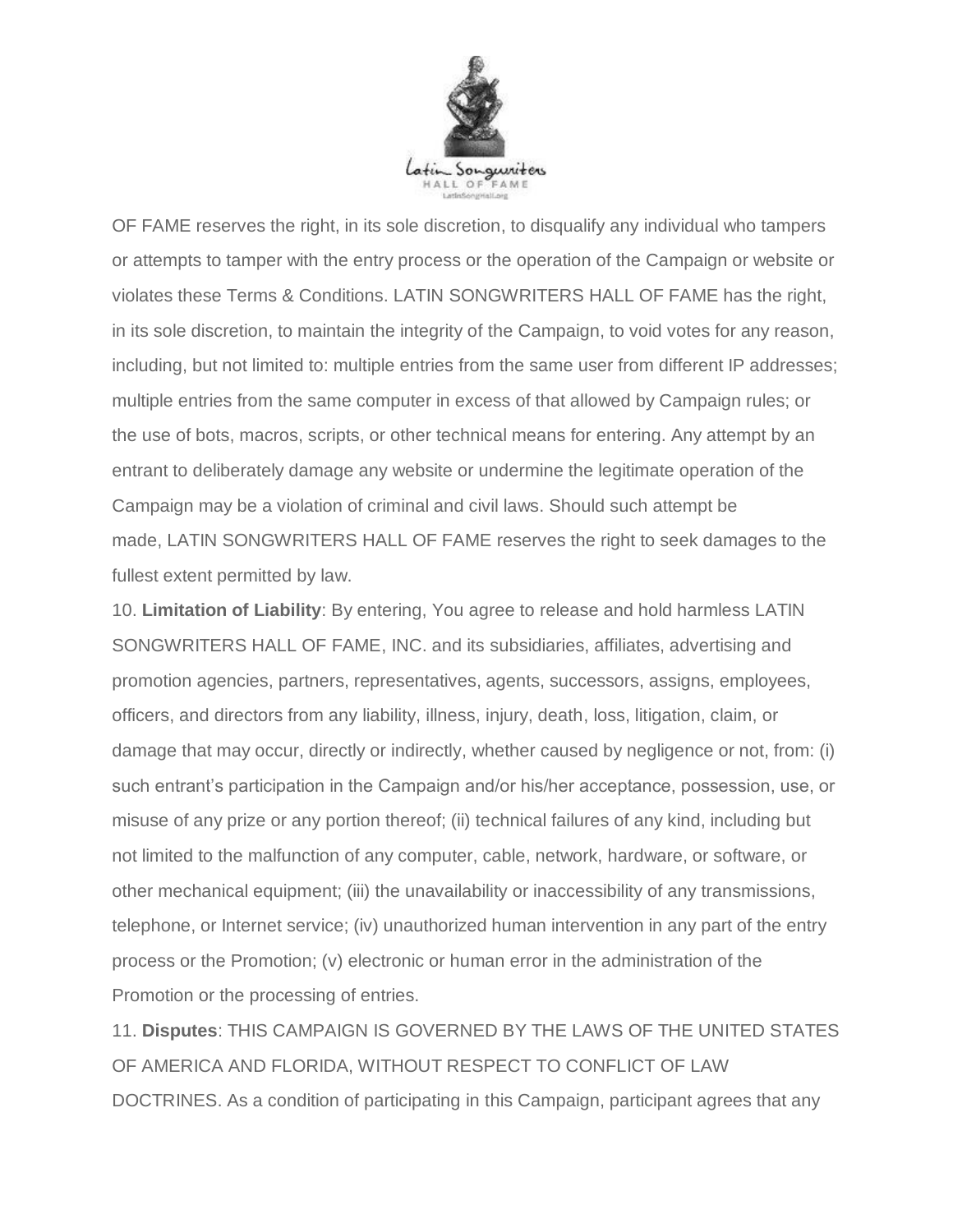

OF FAME reserves the right, in its sole discretion, to disqualify any individual who tampers or attempts to tamper with the entry process or the operation of the Campaign or website or violates these Terms & Conditions. LATIN SONGWRITERS HALL OF FAME has the right, in its sole discretion, to maintain the integrity of the Campaign, to void votes for any reason, including, but not limited to: multiple entries from the same user from different IP addresses; multiple entries from the same computer in excess of that allowed by Campaign rules; or the use of bots, macros, scripts, or other technical means for entering. Any attempt by an entrant to deliberately damage any website or undermine the legitimate operation of the Campaign may be a violation of criminal and civil laws. Should such attempt be made, LATIN SONGWRITERS HALL OF FAME reserves the right to seek damages to the fullest extent permitted by law.

10. **Limitation of Liability**: By entering, You agree to release and hold harmless LATIN SONGWRITERS HALL OF FAME, INC. and its subsidiaries, affiliates, advertising and promotion agencies, partners, representatives, agents, successors, assigns, employees, officers, and directors from any liability, illness, injury, death, loss, litigation, claim, or damage that may occur, directly or indirectly, whether caused by negligence or not, from: (i) such entrant's participation in the Campaign and/or his/her acceptance, possession, use, or misuse of any prize or any portion thereof; (ii) technical failures of any kind, including but not limited to the malfunction of any computer, cable, network, hardware, or software, or other mechanical equipment; (iii) the unavailability or inaccessibility of any transmissions, telephone, or Internet service; (iv) unauthorized human intervention in any part of the entry process or the Promotion; (v) electronic or human error in the administration of the Promotion or the processing of entries.

11. **Disputes**: THIS CAMPAIGN IS GOVERNED BY THE LAWS OF THE UNITED STATES OF AMERICA AND FLORIDA, WITHOUT RESPECT TO CONFLICT OF LAW DOCTRINES. As a condition of participating in this Campaign, participant agrees that any